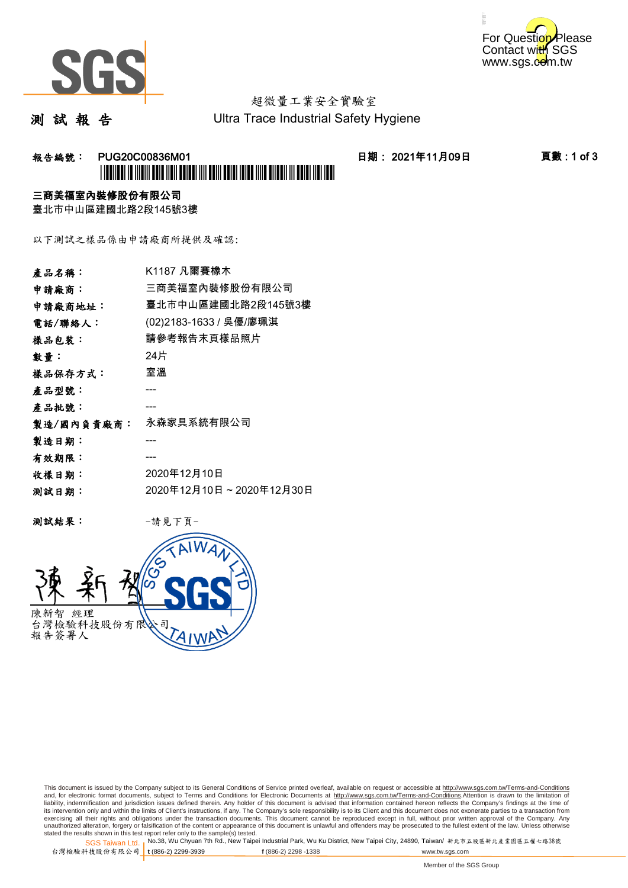



# 超微量工業安全實驗室

測 試 報 告

Ultra Trace Industrial Safety Hygiene

### 报告編號: PUG20C00836M01 日期: 2021年11月09日 頁數:1 of 3 \*PUG20C00836M01\*

### 三商美福室內裝修股份有限公司

臺北市中山區建國北路2段145號3樓

以下測試之樣品係由申請廠商所提供及確認:

| 產品名稱:      | K1187 凡爾賽橡木             |
|------------|-------------------------|
| 申請廠商:      | 三商美福室內裝修股份有限公司          |
| 申請廠商地址:    | 臺北市中山區建國北路2段145號3樓      |
| 電話/聯絡人:    | (02)2183-1633 / 吳優/廖珮淇  |
| 樣品包裝:      | 請參考報告末頁樣品照片             |
| 數量 :       | 24片                     |
| 樣品保存方式:    | 室溫                      |
| 產品型號:      |                         |
| 產品批號:      |                         |
| 製造/國內負責廠商: | 永森家具系統有限公司              |
| 製造日期:      |                         |
| 有效期限:      |                         |
| 收樣日期:      | 2020年12月10日             |
| 测試日期:      | 2020年12月10日~2020年12月30日 |
|            |                         |

测試結果: 一請見下頁



This document is issued by the Company subject to its General Conditions of Service printed overleaf, available on request or accessible at http://www.sgs.com.tw/Terms-and-Conditions and, for electronic format documents, subject to Terms and Conditions for Electronic Documents at <u>http://www.sgs.com.tw/Terms-and-Conditions</u>.Attention is drawn to the limitation of<br>liability, indemnification and jurisdic exercising all their rights and obligations under the transaction documents. This document cannot be reproduced except in full, without prior written approval of the Company. Any<br>unauthorized alteration, forgery or falsifi

SGS Taiwan Ltd. 1 stated the results shown in this test report refer only to the sample(s) tested.<br>Stated the results shown in this test report refer only to the sample(s) tested.

台灣檢驗科技股份有限公司

**t** (886-2) 2299-3939 **f** (886-2) 2298 -1338 www.tw.sgs.com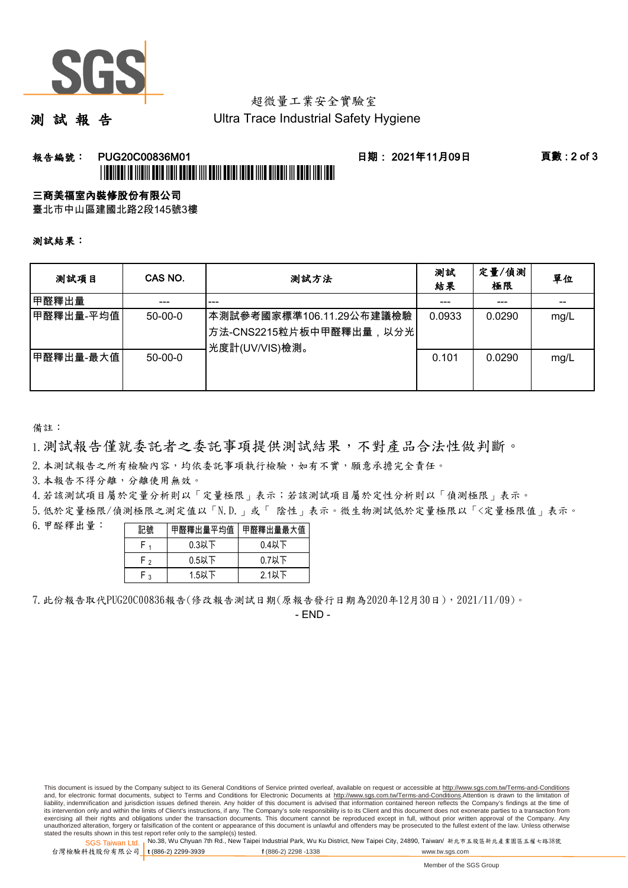

# 超微量工業安全實驗室

測 試 報 告

Ultra Trace Industrial Safety Hygiene

### 報告編號: PUG20C00836M01 日期: 2021年11月09日 頁數 : 2 of 3 \*FUGENCER TE THEM BELG THE THE BELG THE BELG THE BELG THE BELG THE BELG THE BELG THE THE

## 三商美福室內裝修股份有限公司

臺北市中山區建國北路2段145號3樓

測試結果:

| 测試項目      | CAS NO.   | 测試方法                                                                     | 測試<br>結果 | 定量/偵測<br>極限 | 單位   |
|-----------|-----------|--------------------------------------------------------------------------|----------|-------------|------|
| 甲醛釋出量     |           | ---                                                                      |          |             |      |
| 甲醛釋出量-平均值 | $50-00-0$ | ┃本測試參考國家標準106.11.29公布建議檢驗<br>│方法-CNS2215粒片板中甲醛釋出量,以分光│<br>光度計(UV/VIS)檢測。 | 0.0933   | 0.0290      | mg/L |
| 甲醛釋出量-最大值 | $50-00-0$ |                                                                          | 0.101    | 0.0290      | mg/L |

備註:

1.測試報告僅就委託者之委託事項提供測試結果,不對產品合法性做判斷。

2.本測試報告之所有檢驗內容,均依委託事項執行檢驗,如有不實,願意承擔完全責任。

3. 本報告不得分離,分離使用無效。

4.若該測試項目屬於定量分析則以「定量極限」表示;若該測試項目屬於定性分析則以「偵測極限」表示。

5.低於定量極限/偵測極限之測定值以「N.D.」或「 陰性」表示。微生物測試低於定量極限以「<定量極限值」表示。

6.甲醛釋出量:

| 記號 | 甲醛釋出量平均值 | 甲醛釋出量最大值 |  |
|----|----------|----------|--|
|    | $0.3$ 以下 | $0.4$ 以下 |  |
| ۲, | $0.5$ 以下 | $0.7$ 以下 |  |
| ່າ | 1.5以下    | $2.1$ 以下 |  |

7.此份報告取代PUG20C00836報告(修改報告測試日期(原報告發行日期為2020年12月30日),2021/11/09)。

- END -

This document is issued by the Company subject to its General Conditions of Service printed overleaf, available on request or accessible at http://www.sgs.com.tw/Terms-and-Conditions and, for electronic format documents, subject to Terms and Conditions for Electronic Documents at http://www.sgs.com.tw/Terms-and-Conditions.Attention is drawn to the limitation of liability, indemnification and jurisdiction issues defined therein. Any holder of this document is advised that information contained hereon reflects the Company's findings at the time of<br>its intervention only and within t exercising all their rights and obligations under the transaction documents. This document cannot be reproduced except in full, without prior written approval of the Company. Any<br>unauthorized alteration, forgery or falsifi

SGS Taiwan Ltd. 1 stated the results shown in this test report refer only to the sample(s) tested.<br>Stated the results shown in this test report refer only to the sample(s) tested.

台灣檢驗科技股份有限公司